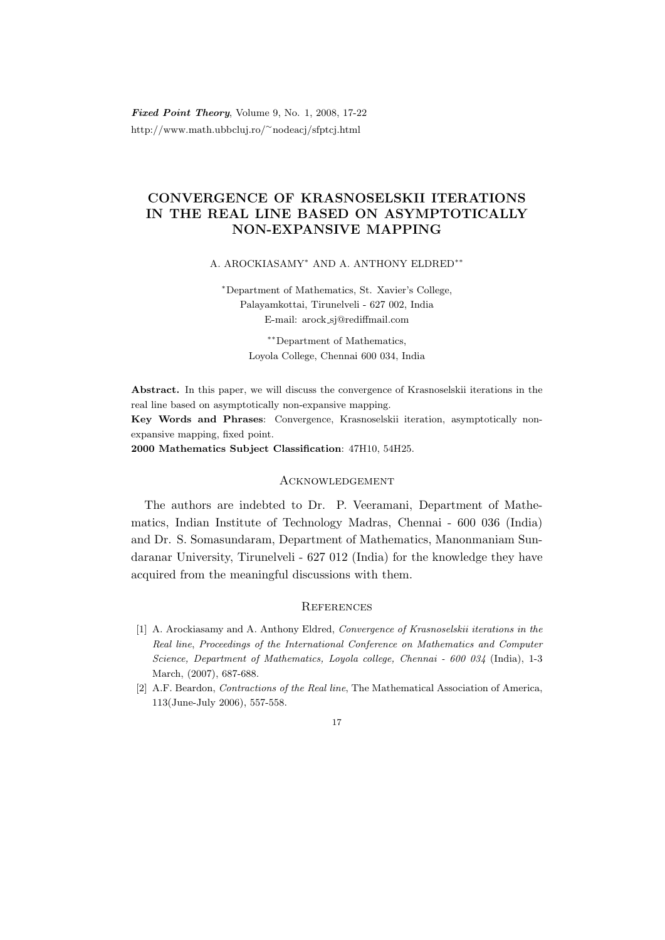Fixed Point Theory, Volume 9, No. 1, 2008, 17-22 http://www.math.ubbcluj.ro/<sup>∼</sup>nodeacj/sfptcj.html

## CONVERGENCE OF KRASNOSELSKII ITERATIONS IN THE REAL LINE BASED ON ASYMPTOTICALLY NON-EXPANSIVE MAPPING

A. AROCKIASAMY<sup>∗</sup> AND A. ANTHONY ELDRED∗∗

<sup>∗</sup>Department of Mathematics, St. Xavier's College, Palayamkottai, Tirunelveli - 627 002, India E-mail: arock sj@rediffmail.com

> ∗∗Department of Mathematics, Loyola College, Chennai 600 034, India

Abstract. In this paper, we will discuss the convergence of Krasnoselskii iterations in the real line based on asymptotically non-expansive mapping.

Key Words and Phrases: Convergence, Krasnoselskii iteration, asymptotically nonexpansive mapping, fixed point.

2000 Mathematics Subject Classification: 47H10, 54H25.

## **ACKNOWLEDGEMENT**

The authors are indebted to Dr. P. Veeramani, Department of Mathematics, Indian Institute of Technology Madras, Chennai - 600 036 (India) and Dr. S. Somasundaram, Department of Mathematics, Manonmaniam Sundaranar University, Tirunelveli - 627 012 (India) for the knowledge they have acquired from the meaningful discussions with them.

## **REFERENCES**

- [1] A. Arockiasamy and A. Anthony Eldred, Convergence of Krasnoselskii iterations in the Real line, Proceedings of the International Conference on Mathematics and Computer Science, Department of Mathematics, Loyola college, Chennai - 600 034 (India), 1-3 March, (2007), 687-688.
- [2] A.F. Beardon, Contractions of the Real line, The Mathematical Association of America, 113(June-July 2006), 557-558.

## 17